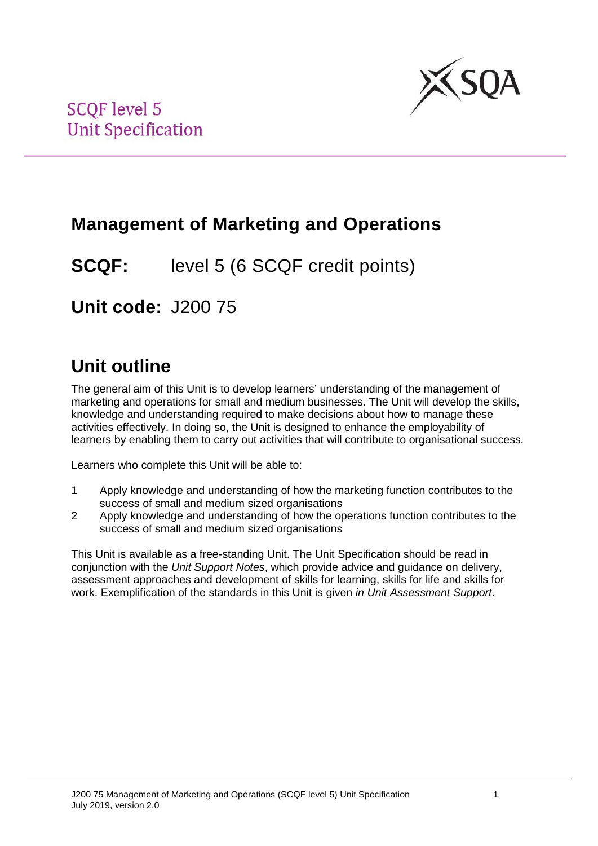

## **Management of Marketing and Operations**

**SCQF:** level 5 (6 SCQF credit points)

**Unit code:** J200 75

## **Unit outline**

The general aim of this Unit is to develop learners' understanding of the management of marketing and operations for small and medium businesses. The Unit will develop the skills, knowledge and understanding required to make decisions about how to manage these activities effectively. In doing so, the Unit is designed to enhance the employability of learners by enabling them to carry out activities that will contribute to organisational success.

Learners who complete this Unit will be able to:

- 1 Apply knowledge and understanding of how the marketing function contributes to the success of small and medium sized organisations
- 2 Apply knowledge and understanding of how the operations function contributes to the success of small and medium sized organisations

This Unit is available as a free-standing Unit. The Unit Specification should be read in conjunction with the *Unit Support Notes*, which provide advice and guidance on delivery, assessment approaches and development of skills for learning, skills for life and skills for work. Exemplification of the standards in this Unit is given *in Unit Assessment Support*.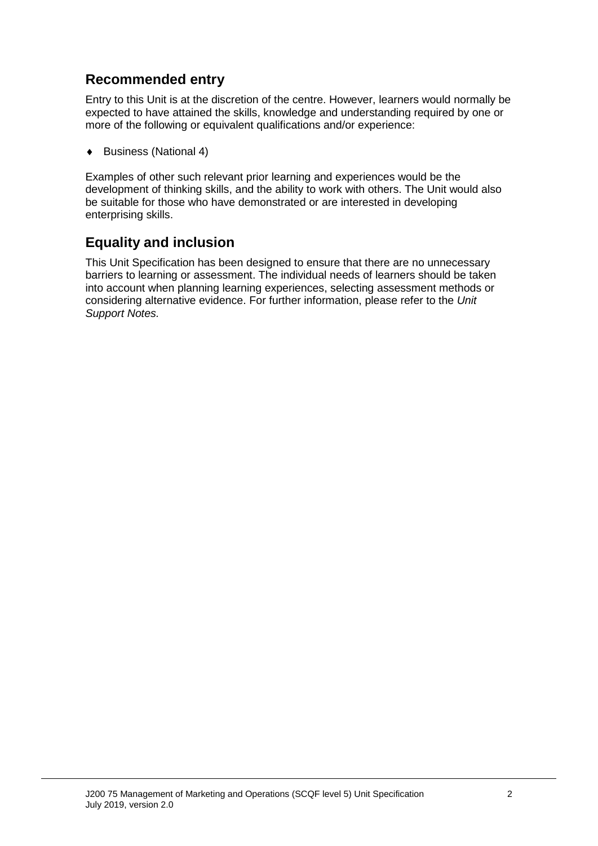### **Recommended entry**

Entry to this Unit is at the discretion of the centre. However, learners would normally be expected to have attained the skills, knowledge and understanding required by one or more of the following or equivalent qualifications and/or experience:

♦ Business (National 4)

Examples of other such relevant prior learning and experiences would be the development of thinking skills, and the ability to work with others. The Unit would also be suitable for those who have demonstrated or are interested in developing enterprising skills.

### **Equality and inclusion**

This Unit Specification has been designed to ensure that there are no unnecessary barriers to learning or assessment. The individual needs of learners should be taken into account when planning learning experiences, selecting assessment methods or considering alternative evidence. For further information, please refer to the *Unit Support Notes.*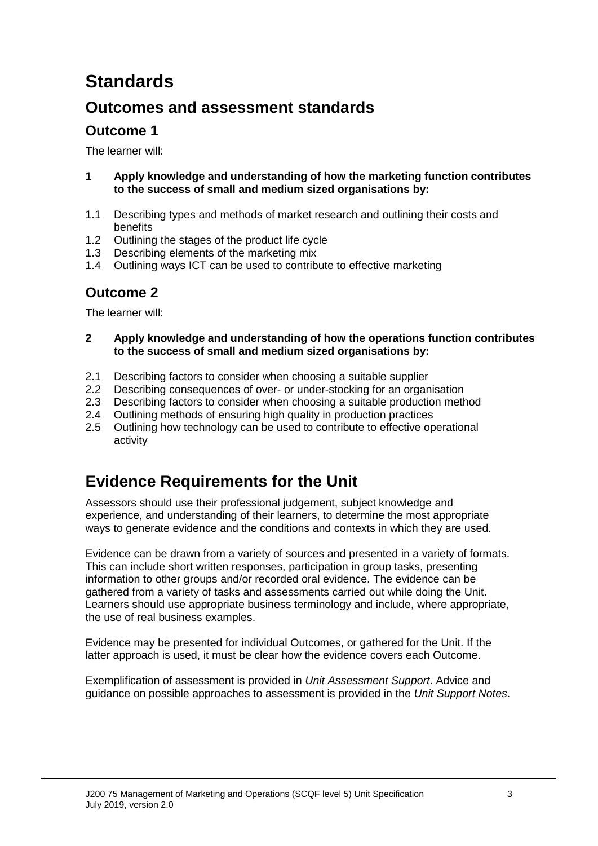# **Standards**

### **Outcomes and assessment standards**

### **Outcome 1**

The learner will:

- **1 Apply knowledge and understanding of how the marketing function contributes to the success of small and medium sized organisations by:**
- 1.1 Describing types and methods of market research and outlining their costs and benefits
- 1.2 Outlining the stages of the product life cycle
- 1.3 Describing elements of the marketing mix
- 1.4 Outlining ways ICT can be used to contribute to effective marketing

### **Outcome 2**

The learner will:

- **2 Apply knowledge and understanding of how the operations function contributes to the success of small and medium sized organisations by:**
- 2.1 Describing factors to consider when choosing a suitable supplier<br>2.2 Describing consequences of over- or under-stocking for an organ
- 2.2 Describing consequences of over- or under-stocking for an organisation<br>2.3 Describing factors to consider when choosing a suitable production meth
- 2.3 Describing factors to consider when choosing a suitable production method 2.4 Outlining methods of ensuring high quality in production practices
- 2.4 Outlining methods of ensuring high quality in production practices<br>2.5 Outlining how technology can be used to contribute to effective op
- 2.5 Outlining how technology can be used to contribute to effective operational activity

## **Evidence Requirements for the Unit**

Assessors should use their professional judgement, subject knowledge and experience, and understanding of their learners, to determine the most appropriate ways to generate evidence and the conditions and contexts in which they are used.

Evidence can be drawn from a variety of sources and presented in a variety of formats. This can include short written responses, participation in group tasks, presenting information to other groups and/or recorded oral evidence. The evidence can be gathered from a variety of tasks and assessments carried out while doing the Unit. Learners should use appropriate business terminology and include, where appropriate, the use of real business examples.

Evidence may be presented for individual Outcomes, or gathered for the Unit. If the latter approach is used, it must be clear how the evidence covers each Outcome.

Exemplification of assessment is provided in *Unit Assessment Support*. Advice and guidance on possible approaches to assessment is provided in the *Unit Support Notes*.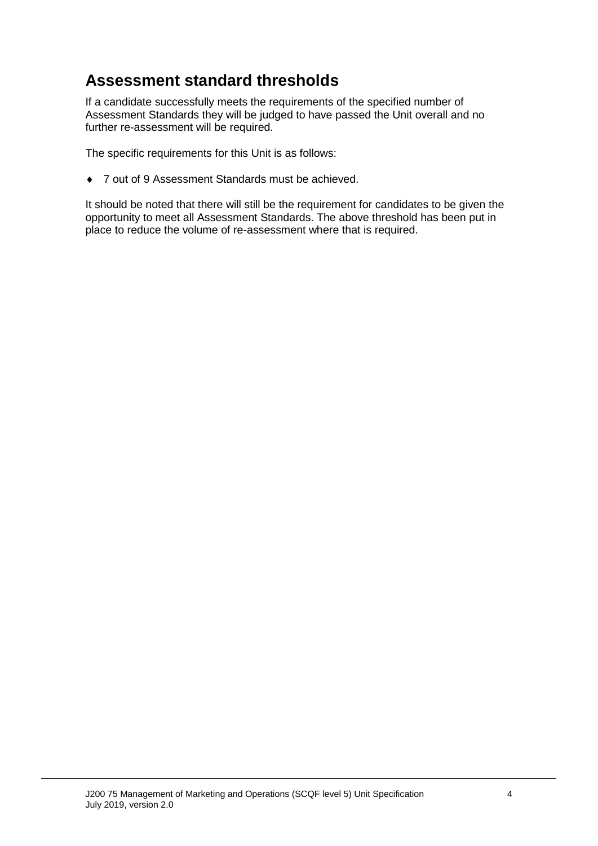### **Assessment standard thresholds**

If a candidate successfully meets the requirements of the specified number of Assessment Standards they will be judged to have passed the Unit overall and no further re-assessment will be required.

The specific requirements for this Unit is as follows:

♦ 7 out of 9 Assessment Standards must be achieved.

It should be noted that there will still be the requirement for candidates to be given the opportunity to meet all Assessment Standards. The above threshold has been put in place to reduce the volume of re-assessment where that is required.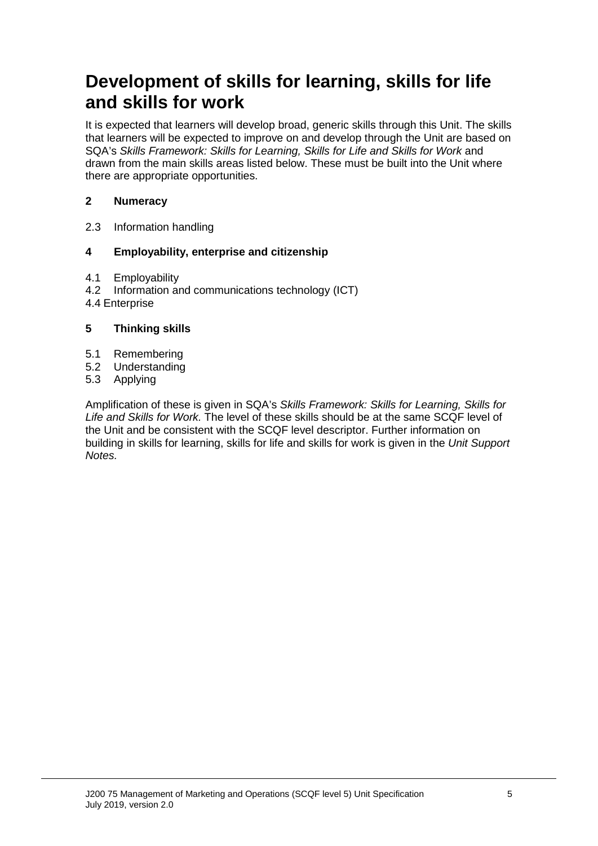## **Development of skills for learning, skills for life and skills for work**

It is expected that learners will develop broad, generic skills through this Unit. The skills that learners will be expected to improve on and develop through the Unit are based on SQA's *Skills Framework: Skills for Learning, Skills for Life and Skills for Work* and drawn from the main skills areas listed below. These must be built into the Unit where there are appropriate opportunities.

#### **2 Numeracy**

2.3 Information handling

#### **4 Employability, enterprise and citizenship**

- 4.1 Employability<br>4.2 Information are
- Information and communications technology (ICT)
- 4.4 Enterprise

#### **5 Thinking skills**

- 5.1 Remembering
- 5.2 Understanding<br>5.3 Applying
- **Applying**

Amplification of these is given in SQA's *Skills Framework: Skills for Learning, Skills for Life and Skills for Work.* The level of these skills should be at the same SCQF level of the Unit and be consistent with the SCQF level descriptor. Further information on building in skills for learning, skills for life and skills for work is given in the *Unit Support Notes.*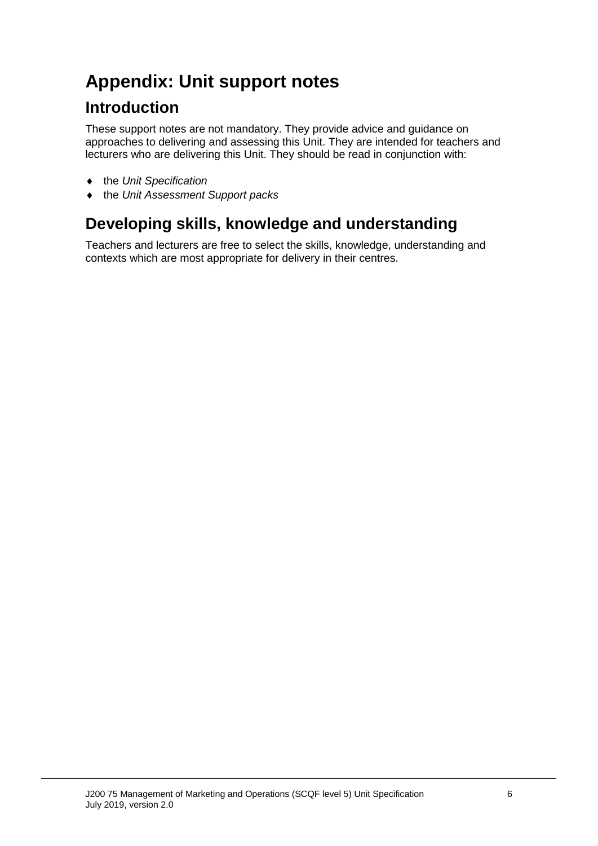# **Appendix: Unit support notes**

### **Introduction**

These support notes are not mandatory. They provide advice and guidance on approaches to delivering and assessing this Unit. They are intended for teachers and lecturers who are delivering this Unit. They should be read in conjunction with:

- ♦ the *Unit Specification*
- ♦ the *Unit Assessment Support packs*

## **Developing skills, knowledge and understanding**

Teachers and lecturers are free to select the skills, knowledge, understanding and contexts which are most appropriate for delivery in their centres.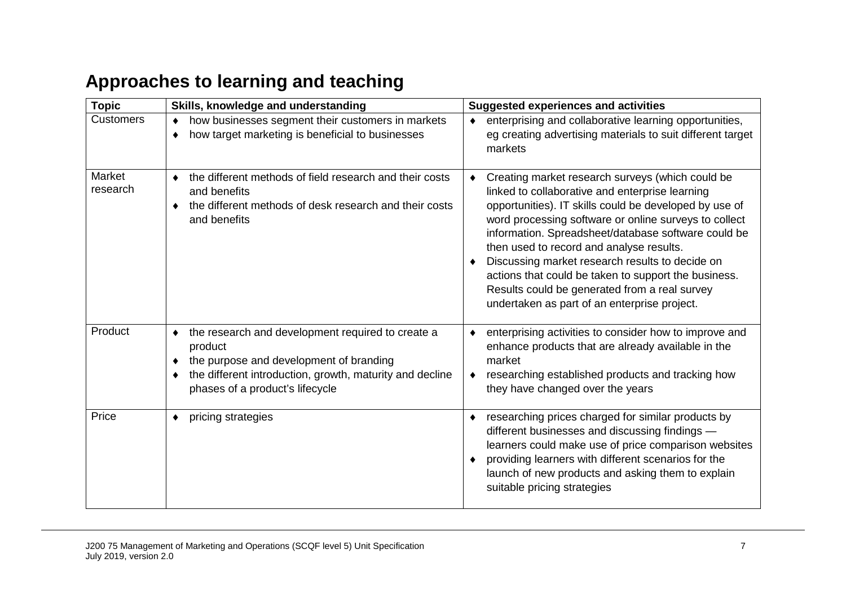# **Approaches to learning and teaching**

| <b>Topic</b>       | Skills, knowledge and understanding                                                                                                                                                                                   | <b>Suggested experiences and activities</b>                                                                                                                                                                                                                                                                                                                                                                                                                                                                                           |  |  |
|--------------------|-----------------------------------------------------------------------------------------------------------------------------------------------------------------------------------------------------------------------|---------------------------------------------------------------------------------------------------------------------------------------------------------------------------------------------------------------------------------------------------------------------------------------------------------------------------------------------------------------------------------------------------------------------------------------------------------------------------------------------------------------------------------------|--|--|
| <b>Customers</b>   | how businesses segment their customers in markets<br>٠<br>how target marketing is beneficial to businesses<br>٠                                                                                                       | enterprising and collaborative learning opportunities,<br>eg creating advertising materials to suit different target<br>markets                                                                                                                                                                                                                                                                                                                                                                                                       |  |  |
| Market<br>research | the different methods of field research and their costs<br>$\bullet$<br>and benefits<br>the different methods of desk research and their costs<br>٠<br>and benefits                                                   | Creating market research surveys (which could be<br>linked to collaborative and enterprise learning<br>opportunities). IT skills could be developed by use of<br>word processing software or online surveys to collect<br>information. Spreadsheet/database software could be<br>then used to record and analyse results.<br>Discussing market research results to decide on<br>actions that could be taken to support the business.<br>Results could be generated from a real survey<br>undertaken as part of an enterprise project. |  |  |
| Product            | the research and development required to create a<br>٠<br>product<br>the purpose and development of branding<br>٠<br>the different introduction, growth, maturity and decline<br>٠<br>phases of a product's lifecycle | enterprising activities to consider how to improve and<br>enhance products that are already available in the<br>market<br>researching established products and tracking how<br>they have changed over the years                                                                                                                                                                                                                                                                                                                       |  |  |
| Price              | pricing strategies<br>٠                                                                                                                                                                                               | researching prices charged for similar products by<br>٠<br>different businesses and discussing findings -<br>learners could make use of price comparison websites<br>providing learners with different scenarios for the<br>launch of new products and asking them to explain<br>suitable pricing strategies                                                                                                                                                                                                                          |  |  |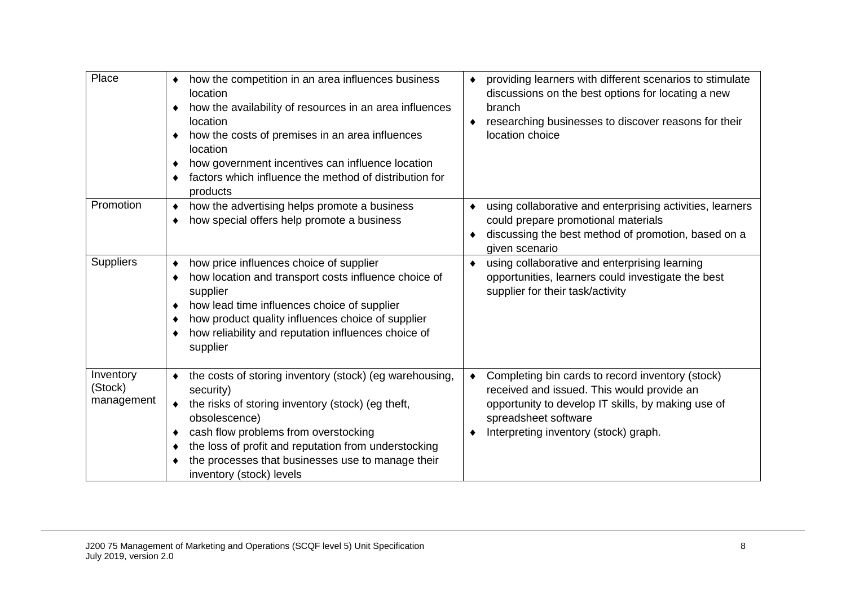| Place                              | how the competition in an area influences business<br>٠<br>location<br>how the availability of resources in an area influences<br>location<br>how the costs of premises in an area influences<br>location<br>how government incentives can influence location<br>factors which influence the method of distribution for<br>products      | providing learners with different scenarios to stimulate<br>۰<br>discussions on the best options for locating a new<br>branch<br>researching businesses to discover reasons for their<br>$\bullet$<br>location choice |
|------------------------------------|------------------------------------------------------------------------------------------------------------------------------------------------------------------------------------------------------------------------------------------------------------------------------------------------------------------------------------------|-----------------------------------------------------------------------------------------------------------------------------------------------------------------------------------------------------------------------|
| Promotion                          | how the advertising helps promote a business<br>٠<br>how special offers help promote a business<br>٠                                                                                                                                                                                                                                     | using collaborative and enterprising activities, learners<br>could prepare promotional materials<br>discussing the best method of promotion, based on a<br>given scenario                                             |
| <b>Suppliers</b>                   | how price influences choice of supplier<br>٠<br>how location and transport costs influence choice of<br>supplier<br>how lead time influences choice of supplier<br>how product quality influences choice of supplier<br>how reliability and reputation influences choice of<br>supplier                                                  | using collaborative and enterprising learning<br>opportunities, learners could investigate the best<br>supplier for their task/activity                                                                               |
| Inventory<br>(Stock)<br>management | the costs of storing inventory (stock) (eg warehousing,<br>security)<br>the risks of storing inventory (stock) (eg theft,<br>$\bullet$<br>obsolescence)<br>cash flow problems from overstocking<br>the loss of profit and reputation from understocking<br>the processes that businesses use to manage their<br>inventory (stock) levels | Completing bin cards to record inventory (stock)<br>received and issued. This would provide an<br>opportunity to develop IT skills, by making use of<br>spreadsheet software<br>Interpreting inventory (stock) graph. |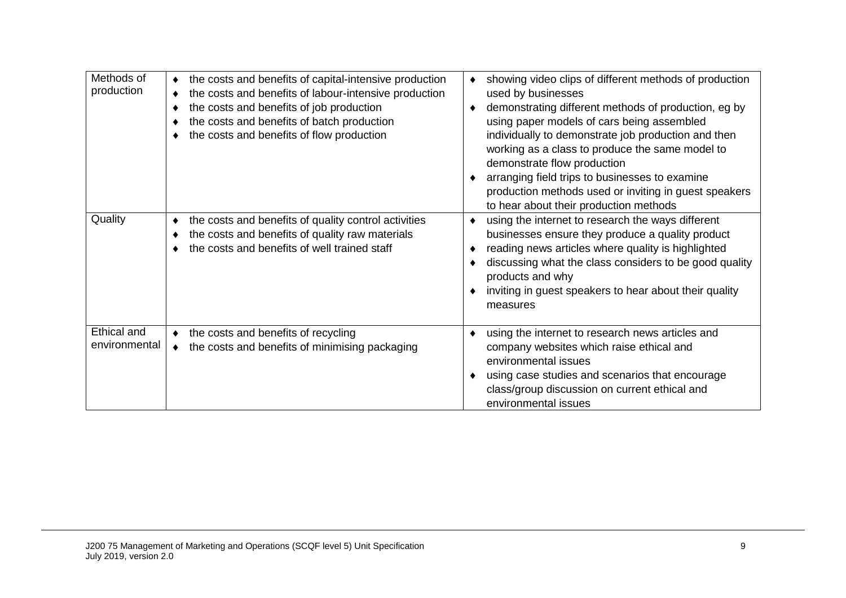| Methods of<br>production<br>Quality | the costs and benefits of capital-intensive production<br>٠<br>the costs and benefits of labour-intensive production<br>the costs and benefits of job production<br>٠<br>the costs and benefits of batch production<br>the costs and benefits of flow production<br>the costs and benefits of quality control activities<br>the costs and benefits of quality raw materials<br>the costs and benefits of well trained staff | showing video clips of different methods of production<br>used by businesses<br>demonstrating different methods of production, eg by<br>using paper models of cars being assembled<br>individually to demonstrate job production and then<br>working as a class to produce the same model to<br>demonstrate flow production<br>arranging field trips to businesses to examine<br>production methods used or inviting in guest speakers<br>to hear about their production methods<br>using the internet to research the ways different<br>businesses ensure they produce a quality product<br>reading news articles where quality is highlighted<br>discussing what the class considers to be good quality<br>products and why<br>inviting in guest speakers to hear about their quality<br>measures |
|-------------------------------------|-----------------------------------------------------------------------------------------------------------------------------------------------------------------------------------------------------------------------------------------------------------------------------------------------------------------------------------------------------------------------------------------------------------------------------|-----------------------------------------------------------------------------------------------------------------------------------------------------------------------------------------------------------------------------------------------------------------------------------------------------------------------------------------------------------------------------------------------------------------------------------------------------------------------------------------------------------------------------------------------------------------------------------------------------------------------------------------------------------------------------------------------------------------------------------------------------------------------------------------------------|
| Ethical and<br>environmental        | the costs and benefits of recycling<br>۰<br>the costs and benefits of minimising packaging<br>٠                                                                                                                                                                                                                                                                                                                             | using the internet to research news articles and<br>company websites which raise ethical and<br>environmental issues<br>using case studies and scenarios that encourage<br>class/group discussion on current ethical and<br>environmental issues                                                                                                                                                                                                                                                                                                                                                                                                                                                                                                                                                    |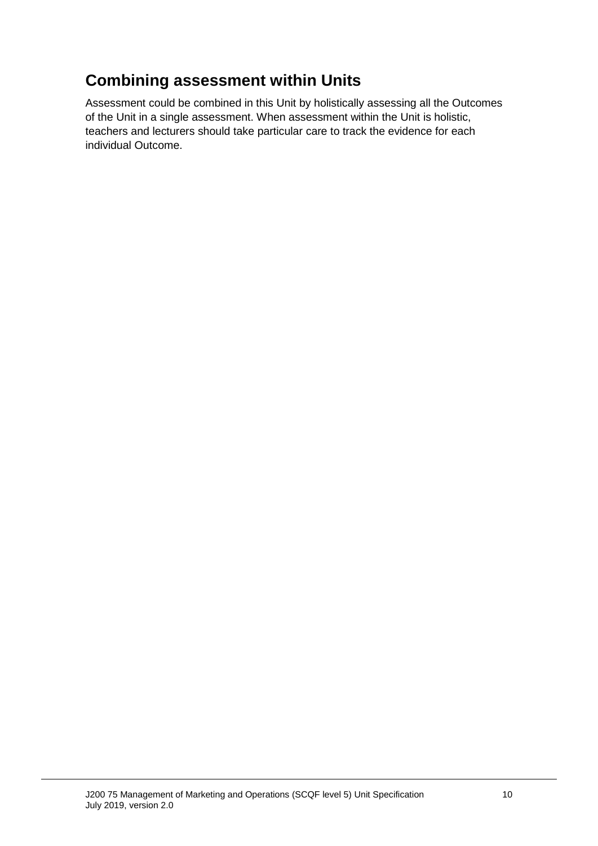## **Combining assessment within Units**

Assessment could be combined in this Unit by holistically assessing all the Outcomes of the Unit in a single assessment. When assessment within the Unit is holistic, teachers and lecturers should take particular care to track the evidence for each individual Outcome.